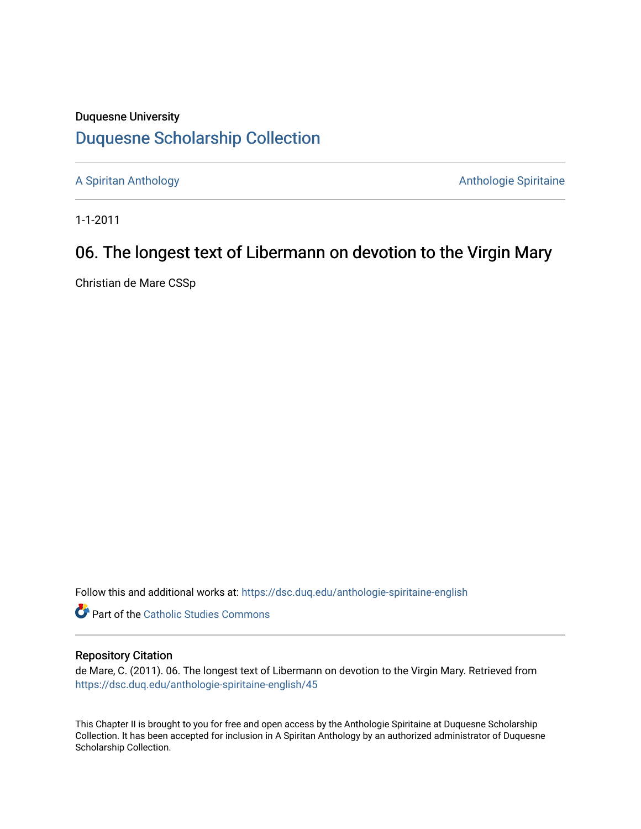### Duquesne University [Duquesne Scholarship Collection](https://dsc.duq.edu/)

[A Spiritan Anthology](https://dsc.duq.edu/anthologie-spiritaine-english) **Anthology** Anthologie Spiritaine

1-1-2011

# 06. The longest text of Libermann on devotion to the Virgin Mary

Christian de Mare CSSp

Follow this and additional works at: [https://dsc.duq.edu/anthologie-spiritaine-english](https://dsc.duq.edu/anthologie-spiritaine-english?utm_source=dsc.duq.edu%2Fanthologie-spiritaine-english%2F45&utm_medium=PDF&utm_campaign=PDFCoverPages)

**Part of the [Catholic Studies Commons](http://network.bepress.com/hgg/discipline/1294?utm_source=dsc.duq.edu%2Fanthologie-spiritaine-english%2F45&utm_medium=PDF&utm_campaign=PDFCoverPages)** 

### Repository Citation

de Mare, C. (2011). 06. The longest text of Libermann on devotion to the Virgin Mary. Retrieved from [https://dsc.duq.edu/anthologie-spiritaine-english/45](https://dsc.duq.edu/anthologie-spiritaine-english/45?utm_source=dsc.duq.edu%2Fanthologie-spiritaine-english%2F45&utm_medium=PDF&utm_campaign=PDFCoverPages) 

This Chapter II is brought to you for free and open access by the Anthologie Spiritaine at Duquesne Scholarship Collection. It has been accepted for inclusion in A Spiritan Anthology by an authorized administrator of Duquesne Scholarship Collection.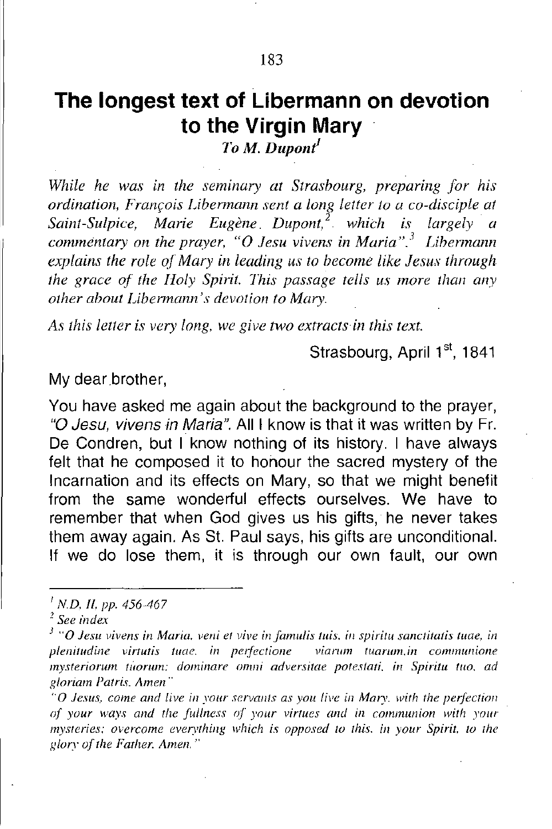## **The longest text of Libermann on devotion to the Virgin Mary**

*ToM. Dupont*

*While he was in the seminary at Strasbourg, preparing for his ordination, Fran(:ois Libermann sent a long letter to a co-disciple at Saint-Sulpice, Marie Eugene Dupont,2 which is largely a commentary on the prayer,* "0 *Jesu vivens in Maria,,3 Libermann explains the role o.(Mary in leading us to become like Jesus through the grace of the Holy Spirit. lhis passage tells us more than any other about Libermann's devotion to Mary.*

*As this letter is very long. we give two extracts in this text.*

Strasbourg, April 1<sup>st</sup>, 1841

My dear brother,

You have asked me again about the background to the prayer, *"0 Jesu, vivens in Maria".* All I know is that it was written by Fr. De Condren, but I know nothing of its history. I have always felt that he composed it to honour the sacred mystery of the Incarnation and its effects on Mary, so that we might benefit from the same wonderful effects ourselves. We have to remember that when God gives us his gifts, he never takes them away again. As St. Paul says, his gifts are unconditional. If we do lose them, it is through our own fault, our own

*"0 Jest/s. come alld live ill YOllr servants as you live ill Mary. with the peryectio/1 of your Wll)'.'! and the fullness oj" your virtues and ill communion with YOllr mysteries: overcome everything which is opposed to this. in your Spirit. to the Rlory of the Father. Amen.*"

*I N.D. 11, PI'. 456-467*

*<sup>2</sup> See index*

*<sup>3</sup> "0 Jest/ vivens in Maria. veni el vive infamulis tuis. ill spiritu sanetttatis [uac, in plenitudine virtutis luae. in per/ectioflc viarwn Iuarum.in communione mystcriorum lliorum: dorninare omni adversitae potestari. in Spiriru lito, ad gloriam Parris. Amen"*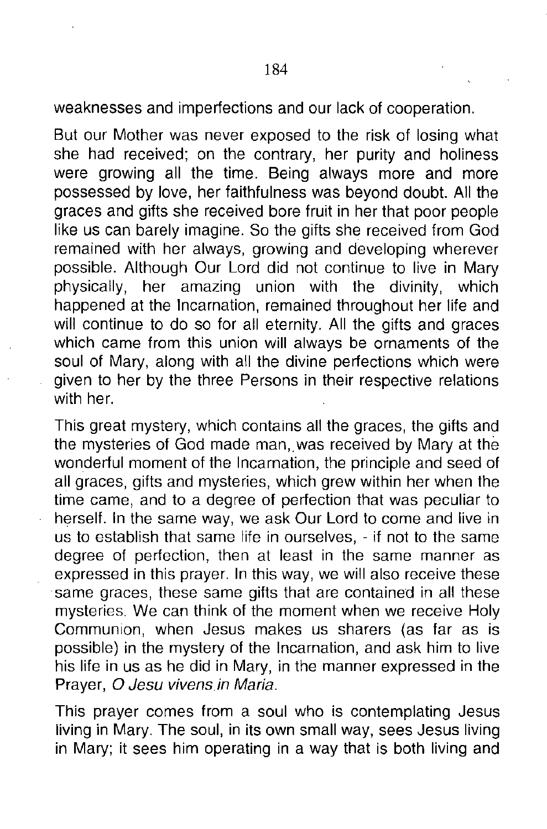weaknesses and imperfections and our lack of cooperation.

But our Mother was never exposed to the risk of losing what she had received; on the contrary, her purity and holiness were growing all the time. Being always more and more possessed by love, her faithfulness was beyond doubt. All the graces and gifts she received bore fruit in her that poor people like us can barely imagine. So the gifts she received from God remained with her always, growing and developing wherever possible. Although Our Lord did not continue to live in Mary physically, her amazing union with the divinity, which happened at the Incarnation, remained throughout her life and will continue to do so for all eternity. All the gifts and graces which came from this union will always be ornaments of the soul of Mary, along with all the divine perfections which were given to her by the three Persons in their respective relations with her.

This great mystery, which contains all the graces, the gifts and the mysteries of God made man, was received by Mary at the wonderful moment of the Incarnation, the principle and seed of all graces, gifts and mysteries, which grew within her when the time came, and to a degree of perfection that was peculiar to herself. **In** the same way, we ask Our Lord to come and live in us to establish that same life in ourselves, - if not to the same degree of perfection, then at least in the same manner as expressed in this prayer. In this way, we will also receive these same graces, these same gifts that are contained in all these mysteries. We can think of the moment when we receive Holy Communion, when Jesus makes us sharers (as far as is possible) in the mystery of the Incarnation, and ask him to live his life in us as he did in Mary, in the manner expressed in the Prayer, 0 *Jesu vivens.in Maria.*

This prayer comes from a soul who is contemplating Jesus living in Mary. The soul, in its own small way, sees Jesus living in Mary; it sees him operating in a way that is both living and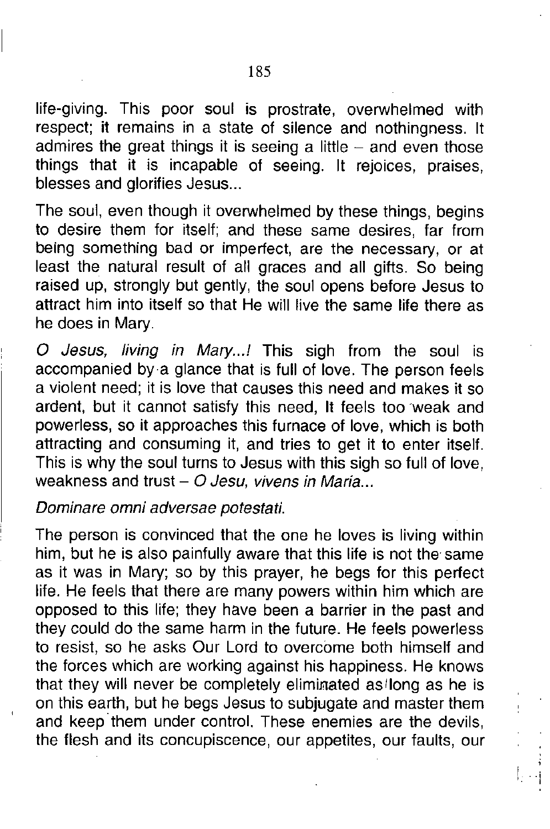185

life-giving. This poor soul is prostrate, overwhelmed with respect; it remains in a state of silence and nothingness. It admires the great things it is seeing a little  $-$  and even those things that it is incapable of seeing. It rejoices, praises, blesses and glorifies Jesus...

The soul, even though it overwhelmed by these things, begins to desire them for itself; and these same desires, far from being something bad or imperfect, are the necessary, or at least the natural result of all graces and all gifts. So being raised up, strongly but gently, the soul opens before Jesus to attract him into itself so that He will live the same life there as he does in Mary.

*a Jesus, living in Mary...!* This sigh from the soul is accompanied by a glance that is full of love. The person feels a violent need; it is love that causes this need and makes it so ardent, but it cannot satisfy this need, It feels too weak and powerless, so it approaches this furnace of love, which is both attracting and consuming it, and tries to get it to enter itself. This is why the soul turns to Jesus with this sigh so full of love, weakness and trust - *O Jesu, vivens in Maria...* 

*Dominare omni adversae potestati.*

The person is convinced that the one he loves is living within him, but he is also painfully aware that this life is not the same as it was in Mary; so by this prayer, he begs for this perfect life. He feels that there are many powers within him which are opposed to this life; they have been a barrier in the past and they could do the same harm in the future. He feels powerless to resist, so he asks Our Lord to overcome both himself and the forces which are working against his happiness. He knows that they will never be completely eliminated as long as he is on this earth, but he begs Jesus to subjugate and master them and keep them under control. These enemies are the devils, the flesh and its concupiscence, our appetites, our faults, our

 $|...|$